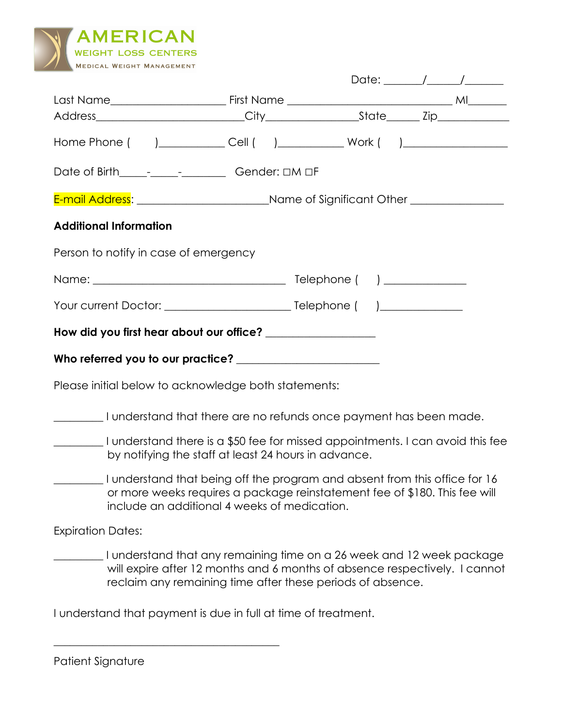

| Home Phone ( )____________Cell ( )____________ Work ( )_________________________                    |                                                                                                                                                                                                                   |  |  |  |  |  |
|-----------------------------------------------------------------------------------------------------|-------------------------------------------------------------------------------------------------------------------------------------------------------------------------------------------------------------------|--|--|--|--|--|
|                                                                                                     |                                                                                                                                                                                                                   |  |  |  |  |  |
| E-mail Address: _________________________________Name of Significant Other ________________________ |                                                                                                                                                                                                                   |  |  |  |  |  |
| <b>Additional Information</b>                                                                       |                                                                                                                                                                                                                   |  |  |  |  |  |
| Person to notify in case of emergency                                                               |                                                                                                                                                                                                                   |  |  |  |  |  |
|                                                                                                     |                                                                                                                                                                                                                   |  |  |  |  |  |
|                                                                                                     |                                                                                                                                                                                                                   |  |  |  |  |  |
| How did you first hear about our office? __________________                                         |                                                                                                                                                                                                                   |  |  |  |  |  |
|                                                                                                     |                                                                                                                                                                                                                   |  |  |  |  |  |
| Please initial below to acknowledge both statements:                                                |                                                                                                                                                                                                                   |  |  |  |  |  |
| I understand that there are no refunds once payment has been made.                                  |                                                                                                                                                                                                                   |  |  |  |  |  |
| I understand there is a \$50 fee for missed appointments. I can avoid this fee                      | by notifying the staff at least 24 hours in advance.                                                                                                                                                              |  |  |  |  |  |
|                                                                                                     | I understand that being off the program and absent from this office for 16<br>or more weeks requires a package reinstatement fee of \$180. This fee will<br>include an additional 4 weeks of medication.          |  |  |  |  |  |
| <b>Expiration Dates:</b>                                                                            |                                                                                                                                                                                                                   |  |  |  |  |  |
|                                                                                                     | I understand that any remaining time on a 26 week and 12 week package<br>will expire after 12 months and 6 months of absence respectively. I cannot<br>reclaim any remaining time after these periods of absence. |  |  |  |  |  |

I understand that payment is due in full at time of treatment.

\_\_\_\_\_\_\_\_\_\_\_\_\_\_\_\_\_\_\_\_\_\_\_\_\_\_\_\_\_\_\_\_\_\_\_\_\_\_\_\_\_

| Patient Signature |  |
|-------------------|--|
|-------------------|--|